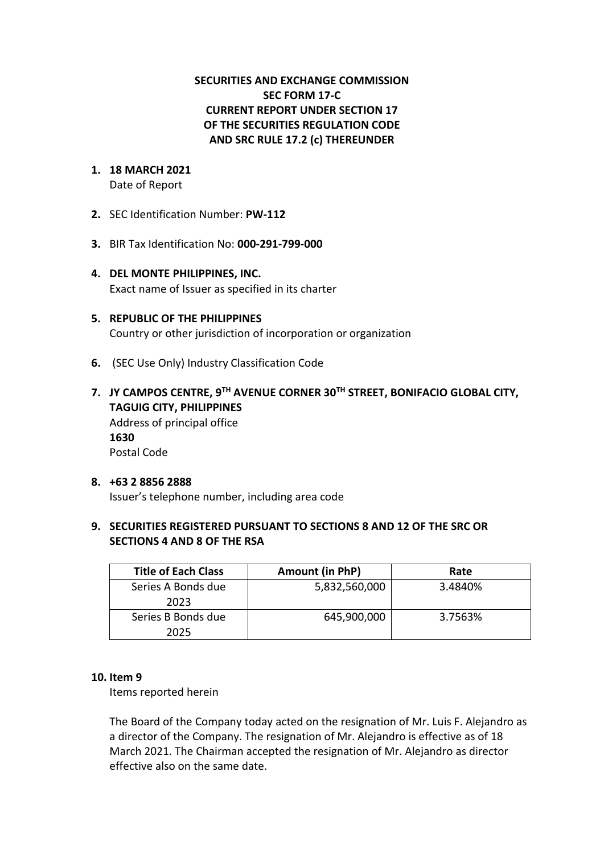# **SECURITIES AND EXCHANGE COMMISSION SEC FORM 17-C CURRENT REPORT UNDER SECTION 17 OF THE SECURITIES REGULATION CODE AND SRC RULE 17.2 (c) THEREUNDER**

#### **1. 18 MARCH 2021** Date of Report

- **2.** SEC Identification Number: **PW-112**
- **3.** BIR Tax Identification No: **000-291-799-000**
- **4. DEL MONTE PHILIPPINES, INC.**  Exact name of Issuer as specified in its charter
- **5. REPUBLIC OF THE PHILIPPINES** Country or other jurisdiction of incorporation or organization
- **6.** (SEC Use Only) Industry Classification Code
- **7. JY CAMPOS CENTRE, 9TH AVENUE CORNER 30TH STREET, BONIFACIO GLOBAL CITY, TAGUIG CITY, PHILIPPINES** Address of principal office **1630** Postal Code

#### **8. +63 2 8856 2888** Issuer's telephone number, including area code

# **9. SECURITIES REGISTERED PURSUANT TO SECTIONS 8 AND 12 OF THE SRC OR SECTIONS 4 AND 8 OF THE RSA**

| <b>Title of Each Class</b> | Amount (in PhP) | Rate    |
|----------------------------|-----------------|---------|
| Series A Bonds due<br>2023 | 5,832,560,000   | 3.4840% |
| Series B Bonds due<br>2025 | 645,900,000     | 3.7563% |

# **10. Item 9**

Items reported herein

The Board of the Company today acted on the resignation of Mr. Luis F. Alejandro as a director of the Company. The resignation of Mr. Alejandro is effective as of 18 March 2021. The Chairman accepted the resignation of Mr. Alejandro as director effective also on the same date.